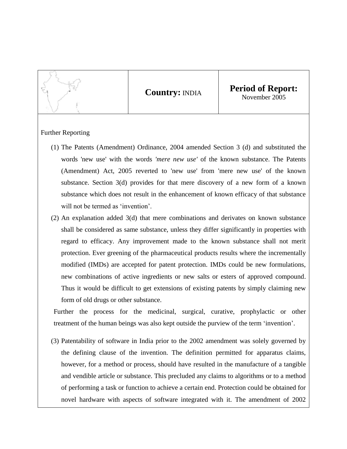

**Country:** INDIA **Period of Report:** November 2005

## Further Reporting

- (1) The Patents (Amendment) Ordinance, 2004 amended Section 3 (d) and substituted the words 'new use' with the words *'mere new use'* of the known substance. The Patents (Amendment) Act, 2005 reverted to 'new use' from 'mere new use' of the known substance. Section 3(d) provides for that mere discovery of a new form of a known substance which does not result in the enhancement of known efficacy of that substance will not be termed as 'invention'.
- (2) An explanation added 3(d) that mere combinations and derivates on known substance shall be considered as same substance, unless they differ significantly in properties with regard to efficacy. Any improvement made to the known substance shall not merit protection. Ever greening of the pharmaceutical products results where the incrementally modified (IMDs) are accepted for patent protection. IMDs could be new formulations, new combinations of active ingredients or new salts or esters of approved compound. Thus it would be difficult to get extensions of existing patents by simply claiming new form of old drugs or other substance.

Further the process for the medicinal, surgical, curative, prophylactic or other treatment of the human beings was also kept outside the purview of the term 'invention'.

(3) Patentability of software in India prior to the 2002 amendment was solely governed by the defining clause of the invention. The definition permitted for apparatus claims, however, for a method or process, should have resulted in the manufacture of a tangible and vendible article or substance. This precluded any claims to algorithms or to a method of performing a task or function to achieve a certain end. Protection could be obtained for novel hardware with aspects of software integrated with it. The amendment of 2002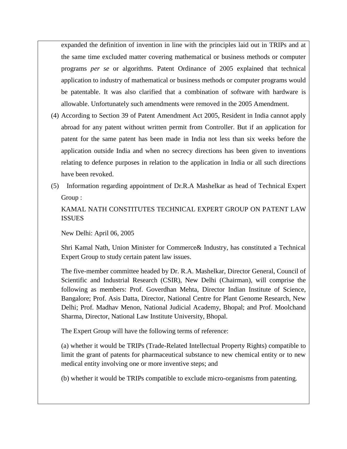expanded the definition of invention in line with the principles laid out in TRIPs and at the same time excluded matter covering mathematical or business methods or computer programs *per se* or algorithms. Patent Ordinance of 2005 explained that technical application to industry of mathematical or business methods or computer programs would be patentable. It was also clarified that a combination of software with hardware is allowable. Unfortunately such amendments were removed in the 2005 Amendment.

- (4) According to Section 39 of Patent Amendment Act 2005, Resident in India cannot apply abroad for any patent without written permit from Controller. But if an application for patent for the same patent has been made in India not less than six weeks before the application outside India and when no secrecy directions has been given to inventions relating to defence purposes in relation to the application in India or all such directions have been revoked.
- (5) Information regarding appointment of Dr.R.A Mashelkar as head of Technical Expert Group :

KAMAL NATH CONSTITUTES TECHNICAL EXPERT GROUP ON PATENT LAW ISSUES

New Delhi: April 06, 2005

Shri Kamal Nath, Union Minister for Commerce& Industry, has constituted a Technical Expert Group to study certain patent law issues.

The five-member committee headed by Dr. R.A. Mashelkar, Director General, Council of Scientific and Industrial Research (CSIR), New Delhi (Chairman), will comprise the following as members: Prof. Goverdhan Mehta, Director Indian Institute of Science, Bangalore; Prof. Asis Datta, Director, National Centre for Plant Genome Research, New Delhi; Prof. Madhav Menon, National Judicial Academy, Bhopal; and Prof. Moolchand Sharma, Director, National Law Institute University, Bhopal.

The Expert Group will have the following terms of reference:

(a) whether it would be TRIPs (Trade-Related Intellectual Property Rights) compatible to limit the grant of patents for pharmaceutical substance to new chemical entity or to new medical entity involving one or more inventive steps; and

(b) whether it would be TRIPs compatible to exclude micro-organisms from patenting.